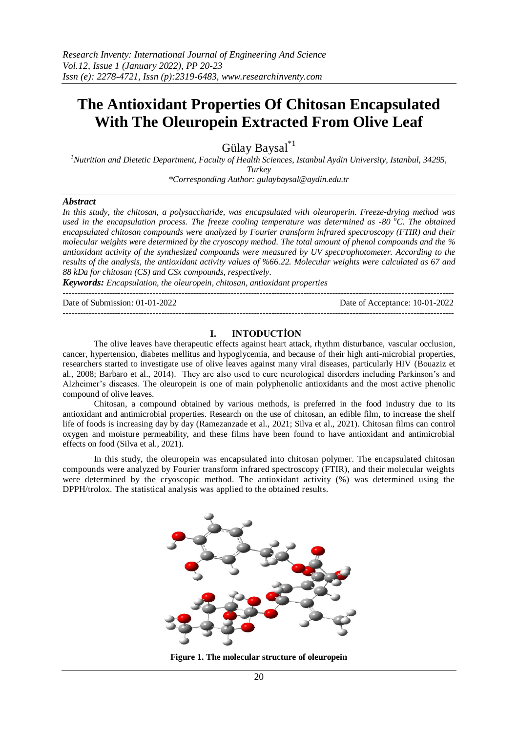# **The Antioxidant Properties Of Chitosan Encapsulated With The Oleuropein Extracted From Olive Leaf**

Gülay Baysal\*1

*<sup>1</sup>Nutrition and Dietetic Department, Faculty of Health Sciences, Istanbul Aydin University, Istanbul, 34295,* 

*Turkey*

*\*Corresponding Author[: gulaybaysal@aydin.edu.tr](mailto:gulaybaysal@aydin.edu.tr)*

#### *Abstract*

*In this study, the chitosan, a polysaccharide, was encapsulated with oleuroperin. Freeze-drying method was used in the encapsulation process. The freeze cooling temperature was determined as -80 <sup>o</sup>C. The obtained encapsulated chitosan compounds were analyzed by Fourier transform infrared spectroscopy (FTIR) and their molecular weights were determined by the cryoscopy method. The total amount of phenol compounds and the % antioxidant activity of the synthesized compounds were measured by UV spectrophotometer. According to the results of the analysis, the antioxidant activity values of %66.22. Molecular weights were calculated as 67 and 88 kDa for chitosan (CS) and CSx compounds, respectively.* 

*Keywords: Encapsulation, the oleuropein, chitosan, antioxidant properties*

---------------------------------------------------------------------------------------------------------------------------------------

Date of Submission: 01-01-2022 Date of Acceptance: 10-01-2022

# **I. INTODUCTİON**

---------------------------------------------------------------------------------------------------------------------------------------

The olive leaves have therapeutic effects against heart attack, rhythm disturbance, vascular occlusion, cancer, hypertension, diabetes mellitus and hypoglycemia, and because of their high anti-microbial properties, researchers started to investigate use of olive leaves against many viral diseases, particularly HIV (Bouaziz et al., 2008; Barbaro et al., 2014). They are also used to cure neurological disorders including Parkinson's and Alzheimer's diseases. The oleuropein is one of main polyphenolic antioxidants and the most active phenolic compound of olive leaves.

Chitosan, a compound obtained by various methods, is preferred in the food industry due to its antioxidant and antimicrobial properties. Research on the use of chitosan, an edible film, to increase the shelf life of foods is increasing day by day (Ramezanzade et al., 2021; Silva et al., 2021). Chitosan films can control oxygen and moisture permeability, and these films have been found to have antioxidant and antimicrobial effects on food (Silva et al., 2021).

In this study, the oleuropein was encapsulated into chitosan polymer. The encapsulated chitosan compounds were analyzed by Fourier transform infrared spectroscopy (FTIR), and their molecular weights were determined by the cryoscopic method. The antioxidant activity (%) was determined using the DPPH/trolox. The statistical analysis was applied to the obtained results.



**Figure 1. The molecular structure of oleuropein**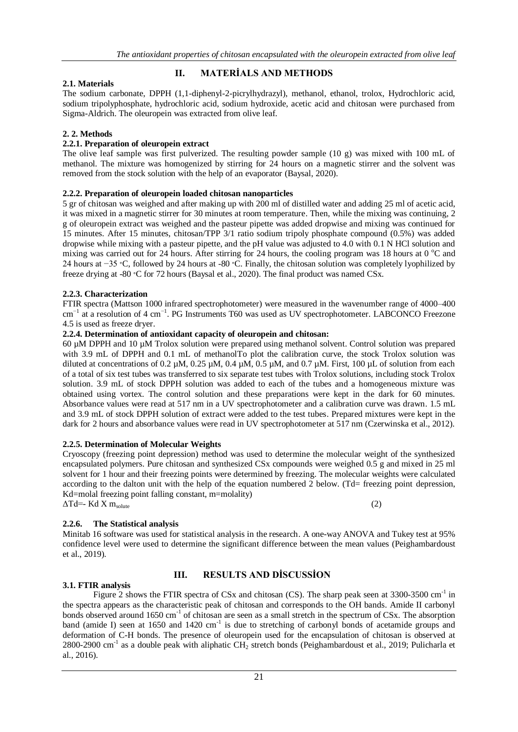# **II. MATERİALS AND METHODS**

## **2.1. Materials**

The sodium carbonate, DPPH (1,1-diphenyl-2-picrylhydrazyl), methanol, ethanol, trolox, Hydrochloric acid, sodium tripolyphosphate, hydrochloric acid, sodium hydroxide, acetic acid and chitosan were purchased from Sigma-Aldrich. The oleuropein was extracted from olive leaf.

## **2. 2. Methods**

## **2.2.1. Preparation of oleuropein extract**

The olive leaf sample was first pulverized. The resulting powder sample (10 g) was mixed with 100 mL of methanol. The mixture was homogenized by stirring for 24 hours on a magnetic stirrer and the solvent was removed from the stock solution with the help of an evaporator (Baysal, 2020).

#### **2.2.2. Preparation of oleuropein loaded chitosan nanoparticles**

5 gr of chitosan was weighed and after making up with 200 ml of distilled water and adding 25 ml of acetic acid, it was mixed in a magnetic stirrer for 30 minutes at room temperature. Then, while the mixing was continuing, 2 g of oleuropein extract was weighed and the pasteur pipette was added dropwise and mixing was continued for 15 minutes. After 15 minutes, chitosan/TPP 3/1 ratio sodium tripoly phosphate compound (0.5%) was added dropwise while mixing with a pasteur pipette, and the pH value was adjusted to 4.0 with 0.1 N HCl solution and mixing was carried out for 24 hours. After stirring for 24 hours, the cooling program was 18 hours at 0  $^{\circ}$ C and 24 hours at −35 ∘C, followed by 24 hours at -80 ∘C. Finally, the chitosan solution was completely lyophilized by freeze drying at -80 ∘C for 72 hours (Baysal et al., 2020). The final product was named CSx.

#### **2.2.3. Characterization**

FTIR spectra (Mattson 1000 infrared spectrophotometer) were measured in the wavenumber range of 4000–400 cm<sup>-1</sup> at a resolution of 4 cm<sup>-1</sup>. PG Instruments T60 was used as UV spectrophotometer. LABCONCO Freezone 4.5 is used as freeze dryer.

#### **2.2.4. Determination of antioxidant capacity of oleuropein and chitosan:**

60 µM DPPH and 10 µM Trolox solution were prepared using methanol solvent. Control solution was prepared with 3.9 mL of DPPH and 0.1 mL of methanolTo plot the calibration curve, the stock Trolox solution was diluted at concentrations of 0.2  $\mu$ M, 0.25  $\mu$ M, 0.4  $\mu$ M, 0.5  $\mu$ M, and 0.7  $\mu$ M. First, 100  $\mu$ L of solution from each of a total of six test tubes was transferred to six separate test tubes with Trolox solutions, including stock Trolox solution. 3.9 mL of stock DPPH solution was added to each of the tubes and a homogeneous mixture was obtained using vortex. The control solution and these preparations were kept in the dark for 60 minutes. Absorbance values were read at 517 nm in a UV spectrophotometer and a calibration curve was drawn. 1.5 mL and 3.9 mL of stock DPPH solution of extract were added to the test tubes. Prepared mixtures were kept in the dark for 2 hours and absorbance values were read in UV spectrophotometer at 517 nm (Czerwinska et al., 2012).

#### **2.2.5. Determination of Molecular Weights**

Cryoscopy (freezing point depression) method was used to determine the molecular weight of the synthesized encapsulated polymers. Pure chitosan and synthesized CSx compounds were weighed 0.5 g and mixed in 25 ml solvent for 1 hour and their freezing points were determined by freezing. The molecular weights were calculated according to the dalton unit with the help of the equation numbered 2 below. (Td= freezing point depression, Kd=molal freezing point falling constant, m=molality)  $\Delta Td = Kd X m_{\text{solute}}$  (2)

# **2.2.6. The Statistical analysis**

Minitab 16 software was used for statistical analysis in the research. A one-way ANOVA and Tukey test at 95% confidence level were used to determine the significant difference between the mean values (Peighambardoust et al., 2019).

# **III. RESULTS AND DİSCUSSİON**

#### **3.1. FTIR analysis**

Figure 2 shows the FTIR spectra of CSx and chitosan (CS). The sharp peak seen at 3300-3500 cm<sup>-1</sup> in the spectra appears as the characteristic peak of chitosan and corresponds to the OH bands. Amide II carbonyl bonds observed around 1650 cm<sup>-1</sup> of chitosan are seen as a small stretch in the spectrum of CSx. The absorption band (amide I) seen at 1650 and 1420 cm<sup>-1</sup> is due to stretching of carbonyl bonds of acetamide groups and deformation of C-H bonds. The presence of oleuropein used for the encapsulation of chitosan is observed at 2800-2900 cm<sup>-1</sup> as a double peak with aliphatic CH<sub>2</sub> stretch bonds (Peighambardoust et al., 2019; Pulicharla et al., 2016).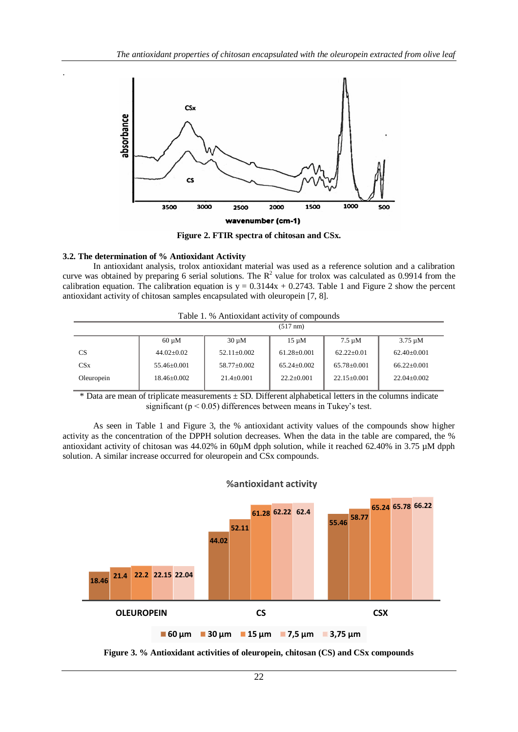

**Figure 2. FTIR spectra of chitosan and CSx.**

#### **3.2. The determination of % Antioxidant Activity**

.

In antioxidant analysis, trolox antioxidant material was used as a reference solution and a calibration curve was obtained by preparing 6 serial solutions. The  $\mathbb{R}^2$  value for trolox was calculated as 0.9914 from the calibration equation. The calibration equation is  $y = 0.3144x + 0.2743$ . Table 1 and Figure 2 show the percent antioxidant activity of chitosan samples encapsulated with oleuropein [7, 8].

|  | Table 1. % Antioxidant activity of compounds |
|--|----------------------------------------------|
|  |                                              |

|                 | $(517 \text{ nm})$ |                   |                   |                   |                   |  |  |
|-----------------|--------------------|-------------------|-------------------|-------------------|-------------------|--|--|
|                 | $60 \mu M$         | $30 \mu M$        | $15 \mu M$        | $7.5 \mu M$       | $3.75 \mu M$      |  |  |
| CS.             | $44.02+0.02$       | $52.11 + 0.002$   | $61.28 \pm 0.001$ | $62.22 \pm 0.01$  | $62.40 \pm 0.001$ |  |  |
| CS <sub>x</sub> | $55.46 \pm 0.001$  | $58.77 \pm 0.002$ | $65.24 + 0.002$   | $65.78 \pm 0.001$ | $66.22+0.001$     |  |  |
| Oleuropein      | $18.46 + 0.002$    | $21.4+0.001$      | $22.2+0.001$      | $22.15+0.001$     | $22.04 \pm 0.002$ |  |  |
|                 |                    |                   |                   |                   |                   |  |  |

 $*$  Data are mean of triplicate measurements  $\pm$  SD. Different alphabetical letters in the columns indicate significant ( $p < 0.05$ ) differences between means in Tukey's test.

As seen in Table 1 and Figure 3, the % antioxidant activity values of the compounds show higher activity as the concentration of the DPPH solution decreases. When the data in the table are compared, the % antioxidant activity of chitosan was 44.02% in 60 $\mu$ M dpph solution, while it reached 62.40% in 3.75  $\mu$ M dpph solution. A similar increase occurred for oleuropein and CSx compounds.



# **%antioxidant activity**

**Figure 3. % Antioxidant activities of oleuropein, chitosan (CS) and CSx compounds**